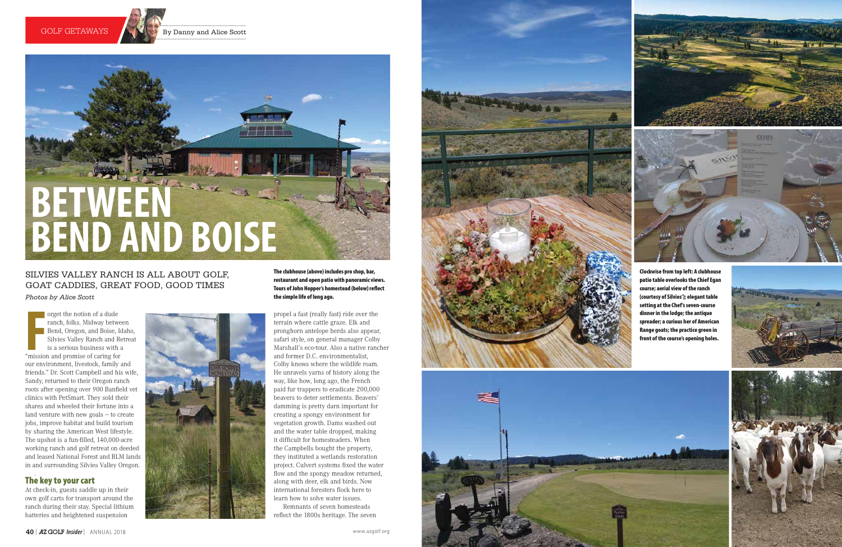





Franch, folks. Midway betwe<br>
Franch, folks. Midway betwe<br>
Bend, Oregon, and Boise, Ic<br>
Silvies Valley Ranch and Re<br>
is a serious business with a<br>
"mission and promise of caring for orget the notion of a dude ranch, folks. Midway between Bend, Oregon, and Boise, Idaho, Silvies Valley Ranch and Retreat is a serious business with a our environment, livestock, family and friends." Dr. Scott Campbell and his wife, Sandy, returned to their Oregon ranch roots after opening over 900 Banfield vet clinics with PetSmart. They sold their shares and wheeled their fortune into a land venture with new goals — to create jobs, improve habitat and build tourism by sharing the American West lifestyle. The upshot is a fun-filled, 140,000-acre working ranch and golf retreat on deeded and leased National Forest and BLM lands in and surrounding Silvies Valley Oregon.

#### . The key to your cart

At check-in, guests saddle up in their own golf carts for transport around the ranch during their stay. Special lithium batteries and heightened suspension



propel a fast (really fast) ride over the terrain where cattle graze. Elk and pronghorn antelope herds also appear, safari style, on general manager Colby Marshall's eco-tour. Also a native rancher and former D.C. environmentalist, Colby knows where the wildlife roam. He unravels yarns of history along the way, like how, long ago, the French paid fur trappers to eradicate 200,000 beavers to deter settlements. Beavers' damming is pretty darn important for creating a spongy environment for vegetation growth. Dams washed out and the water table dropped, making it difficult for homesteaders. When the Campbells bought the property, they instituted a wetlands restoration project. Culvert systems fixed the water flow and the spongy meadow returned, along with deer, elk and birds. Now international foresters flock here to learn how to solve water issues.

Remnants of seven homesteads reflect the 1800s heritage. The seven



Clockwise from top left: A clubhouse patio table overlooks the Chief Egan course; aerial view of the ranch (courtesy of Silvies'); elegant table setting at the Chef's seven-course dinner in the lodge; the antique spreader; a curious her of American Range goats; the practice green in front of the course's opening holes.







The clubhouse (above) includes pro shop, bar, restaurant and open patio with panoramic views. Tours of John Hopper's homestead (below) reflect the simple life of long ago.

# SILVIES VALLEY RANCH IS ALL ABOUT GOLF, GOAT CADDIES, GREAT FOOD, GOOD TIMES *Photos by Alice Scott*